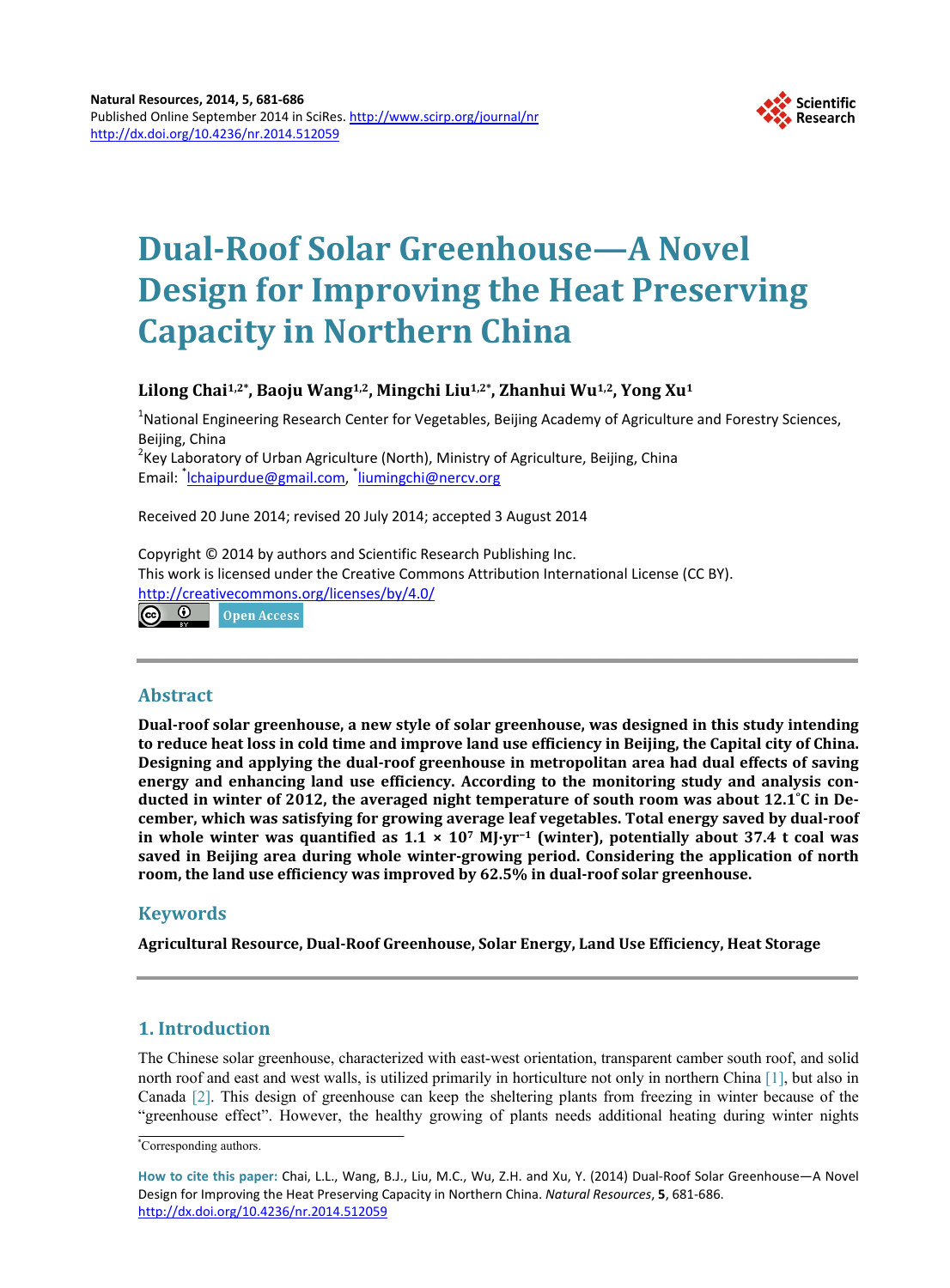

# **Dual-Roof Solar Greenhouse—A Novel Design for Improving the Heat Preserving Capacity in Northern China**

# **Lilong Chai1,2\*, Baoju Wang1,2, Mingchi Liu1,2\*, Zhanhui Wu1,2, Yong Xu1**

<sup>1</sup>National Engineering Research Center for Vegetables, Beijing Academy of Agriculture and Forestry Sciences, Beijing, China <sup>2</sup>  $K$ Key Laboratory of Urban Agriculture (North), Ministry of Agriculture, Beijing, China Email: <sup>\*</sup>[lchaipurdue@gmail.com,](mailto:lchaipurdue@gmail.com) <sup>\*</sup>[liumingchi@nercv.org](mailto:liumingchi@nercv.org)

Received 20 June 2014; revised 20 July 2014; accepted 3 August 2014

Copyright © 2014 by authors and Scientific Research Publishing Inc. This work is licensed under the Creative Commons Attribution International License (CC BY). <http://creativecommons.org/licenses/by/4.0/> (ര 0 Open Access

# **Abstract**

**Dual-roof solar greenhouse, a new style of solar greenhouse, was designed in this study intending to reduce heat loss in cold time and improve land use efficiency in Beijing, the Capital city of China. Designing and applying the dual-roof greenhouse in metropolitan area had dual effects of saving energy and enhancing land use efficiency. According to the monitoring study and analysis conducted in winter of 2012, the averaged night temperature of south room was about 12.1˚C in December, which was satisfying for growing average leaf vegetables. Total energy saved by dual-roof in whole winter was quantified as 1.1 × 107 MJ∙yr−<sup>1</sup> (winter), potentially about 37.4 t coal was saved in Beijing area during whole winter-growing period. Considering the application of north room, the land use efficiency was improved by 62.5% in dual-roof solar greenhouse.**

# **Keywords**

**Agricultural Resource, Dual-Roof Greenhouse, Solar Energy, Land Use Efficiency, Heat Storage**

# **1. Introduction**

The Chinese solar greenhouse, characterized with east-west orientation, transparent camber south roof, and solid north roof and east and west walls, is utilized primarily in horticulture not only in northern China [\[1\],](#page-4-0) but also in Canada [\[2\].](#page-4-1) This design of greenhouse can keep the sheltering plants from freezing in winter because of the "greenhouse effect". However, the healthy growing of plants needs additional heating during winter nights

<sup>\*</sup> Corresponding authors.

**How to cite this paper:** Chai, L.L., Wang, B.J., Liu, M.C., Wu, Z.H. and Xu, Y. (2014) Dual-Roof Solar Greenhouse—A Novel Design for Improving the Heat Preserving Capacity in Northern China. *Natural Resources*, **5**, 681-686. <http://dx.doi.org/10.4236/nr.2014.512059>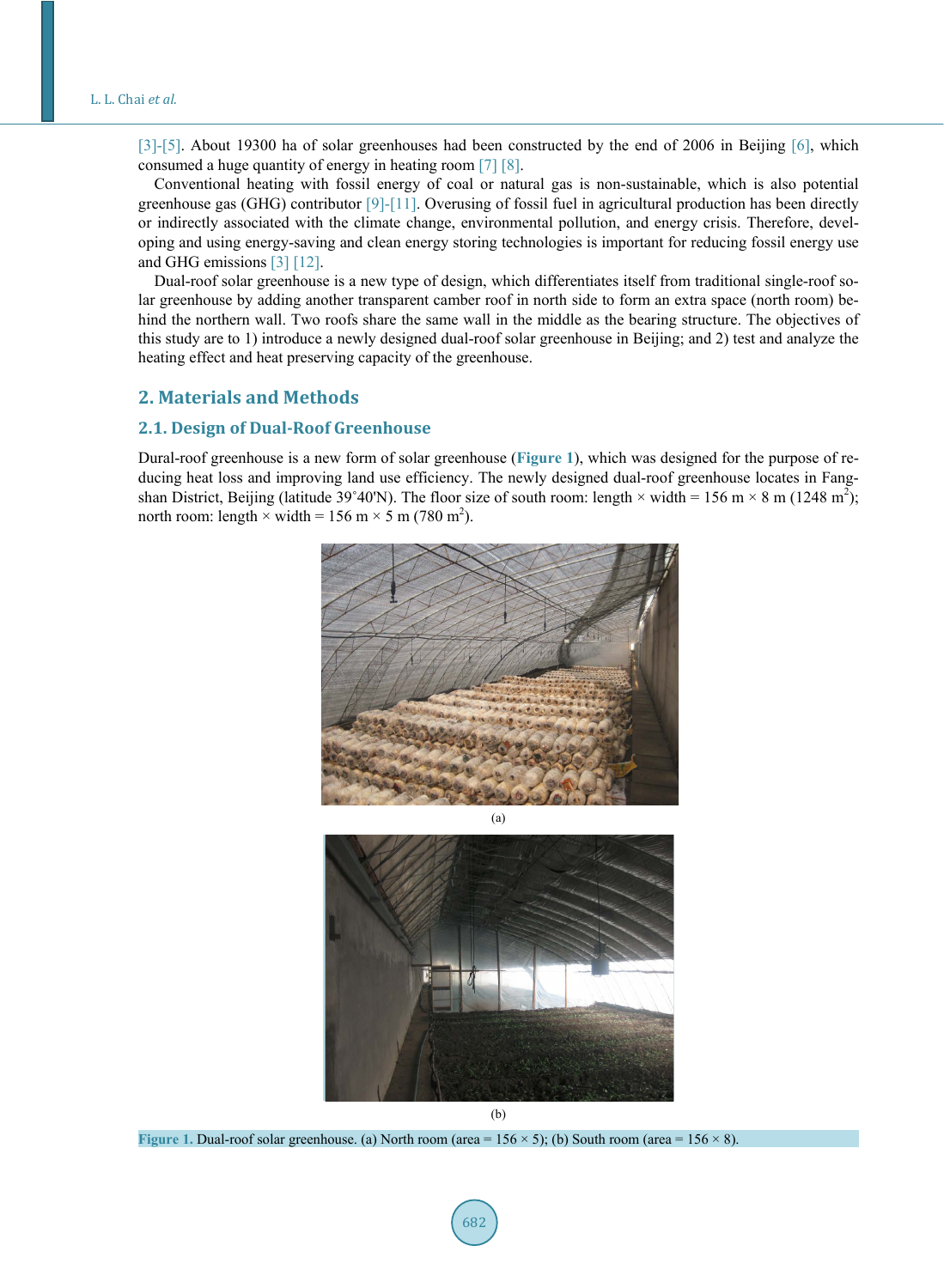[\[3\]](#page-4-2)[-\[5\].](#page-5-0) About 19300 ha of solar greenhouses had been constructed by the end of 2006 in Beijing [\[6\],](#page-5-1) which consumed a huge quantity of energy in heating room [\[7\]](#page-5-2) [\[8\].](#page-5-3)

Conventional heating with fossil energy of coal or natural gas is non-sustainable, which is also potential greenhouse gas (GHG) contributor [\[9\]](#page-5-4)[-\[11\].](#page-5-5) Overusing of fossil fuel in agricultural production has been directly or indirectly associated with the climate change, environmental pollution, and energy crisis. Therefore, developing and using energy-saving and clean energy storing technologies is important for reducing fossil energy use and GHG emissions [\[3\]](#page-4-2) [\[12\].](#page-5-6)

Dual-roof solar greenhouse is a new type of design, which differentiates itself from traditional single-roof solar greenhouse by adding another transparent camber roof in north side to form an extra space (north room) behind the northern wall. Two roofs share the same wall in the middle as the bearing structure. The objectives of this study are to 1) introduce a newly designed dual-roof solar greenhouse in Beijing; and 2) test and analyze the heating effect and heat preserving capacity of the greenhouse.

# **2. Materials and Methods**

## **2.1. Design of Dual-Roof Greenhouse**

<span id="page-1-0"></span>Dural-roof greenhouse is a new form of solar greenhouse (**[Figure 1](#page-1-0)**), which was designed for the purpose of reducing heat loss and improving land use efficiency. The newly designed dual-roof greenhouse locates in Fangshan District, Beijing (latitude 39°40'N). The floor size of south room: length  $\times$  width = 156 m  $\times$  8 m (1248 m<sup>2</sup>); north room: length  $\times$  width = 156 m  $\times$  5 m (780 m<sup>2</sup>).



(b)

**Figure 1. Dual-roof solar greenhouse.** (a) North room (area =  $156 \times 5$ ); (b) South room (area =  $156 \times 8$ ).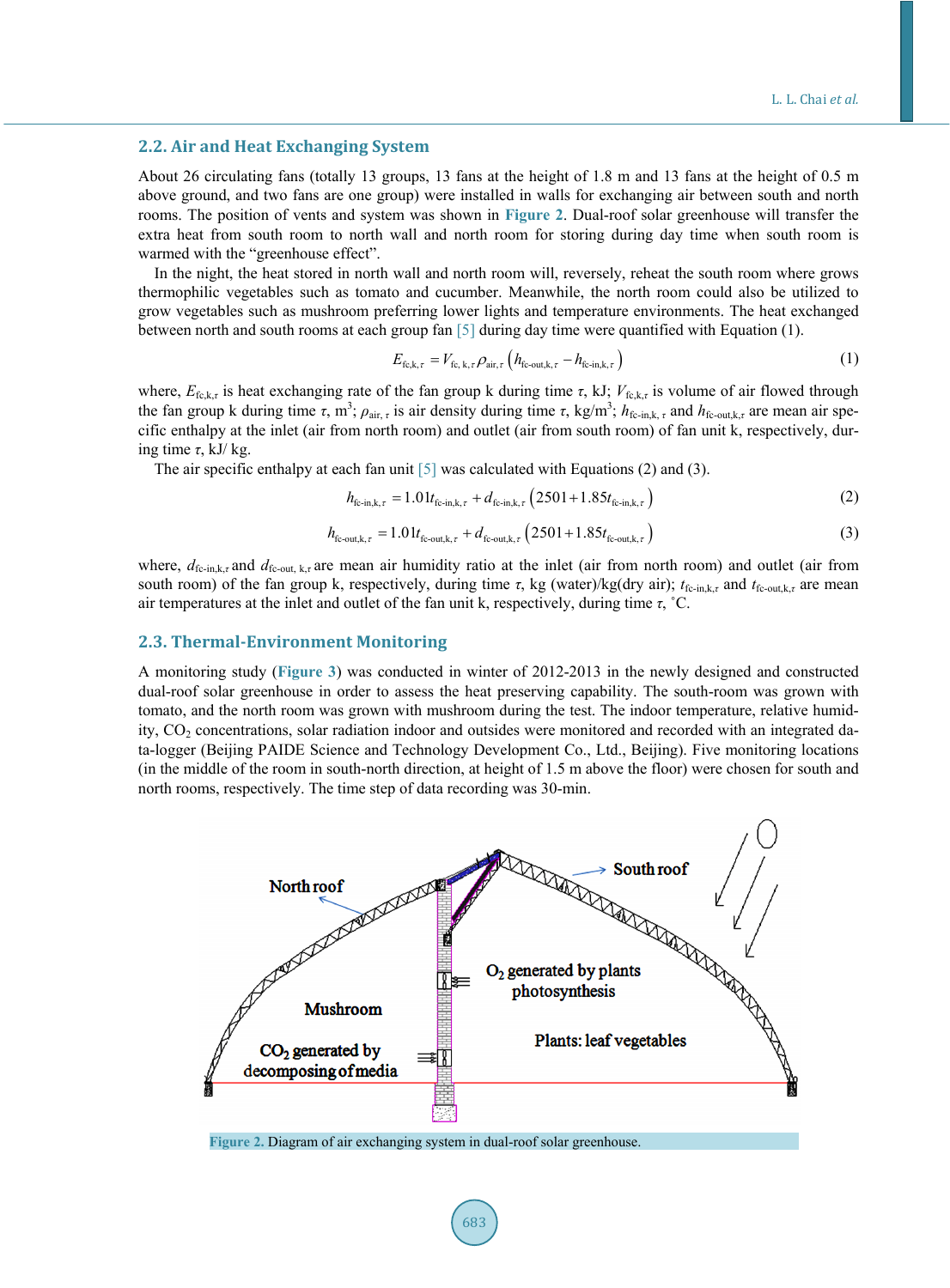## **2.2. Air and Heat Exchanging System**

About 26 circulating fans (totally 13 groups, 13 fans at the height of 1.8 m and 13 fans at the height of 0.5 m above ground, and two fans are one group) were installed in walls for exchanging air between south and north rooms. The position of vents and system was shown in **[Figure 2](#page-2-0)**. Dual-roof solar greenhouse will transfer the extra heat from south room to north wall and north room for storing during day time when south room is warmed with the "greenhouse effect".

In the night, the heat stored in north wall and north room will, reversely, reheat the south room where grows thermophilic vegetables such as tomato and cucumber. Meanwhile, the north room could also be utilized to grow vegetables such as mushroom preferring lower lights and temperature environments. The heat exchanged between north and south rooms at each group fan [\[5\]](#page-5-0) during day time were quantified with Equation (1).

$$
E_{\text{fc},\mathbf{k},\tau} = V_{\text{fc},\mathbf{k},\tau} \rho_{\text{air},\tau} \left( h_{\text{fc-out},\mathbf{k},\tau} - h_{\text{fc-in},\mathbf{k},\tau} \right)
$$
 (1)

where,  $E_{f_{R,k,\tau}}$  is heat exchanging rate of the fan group k during time  $\tau$ , kJ;  $V_{f_{R,k,\tau}}$  is volume of air flowed through the fan group k during time  $\tau$ , m<sup>3</sup>;  $\rho_{air, \tau}$  is air density during time  $\tau$ , kg/m<sup>3</sup>;  $h_{fc\text{-}in,k,\tau}$  and  $h_{fc\text{-}out,k,\tau}$  are mean air specific enthalpy at the inlet (air from north room) and outlet (air from south room) of fan unit k, respectively, during time *τ*, kJ/ kg.

The air specific enthalpy at each fan unit  $[5]$  was calculated with Equations (2) and (3).

$$
h_{\text{fc-in},k,\tau} = 1.01t_{\text{fc-in},k,\tau} + d_{\text{fc-in},k,\tau} \left(2501 + 1.85t_{\text{fc-in},k,\tau}\right) \tag{2}
$$

$$
h_{\text{fc-out},k,\tau} = 1.01t_{\text{fc-out},k,\tau} + d_{\text{fc-out},k,\tau} \left(2501 + 1.85t_{\text{fc-out},k,\tau}\right) \tag{3}
$$

where,  $d_{\text{fc-in},k,\tau}$  and  $d_{\text{fc-out},k,\tau}$  are mean air humidity ratio at the inlet (air from north room) and outlet (air from south room) of the fan group k, respectively, during time *τ*, kg (water)/kg(dry air);  $t_{\text{fc-in},k,\tau}$  and  $t_{\text{fc-out},k,\tau}$  are mean air temperatures at the inlet and outlet of the fan unit k, respectively, during time *τ*, ˚C.

#### **2.3. Thermal-Environment Monitoring**

A monitoring study (**[Figure 3](#page-3-0)**) was conducted in winter of 2012-2013 in the newly designed and constructed dual-roof solar greenhouse in order to assess the heat preserving capability. The south-room was grown with tomato, and the north room was grown with mushroom during the test. The indoor temperature, relative humidity, CO2 concentrations, solar radiation indoor and outsides were monitored and recorded with an integrated data-logger (Beijing PAIDE Science and Technology Development Co., Ltd., Beijing). Five monitoring locations (in the middle of the room in south-north direction, at height of 1.5 m above the floor) were chosen for south and north rooms, respectively. The time step of data recording was 30-min.

<span id="page-2-0"></span>

**Figure 2.** Diagram of air exchanging system in dual-roof solar greenhouse.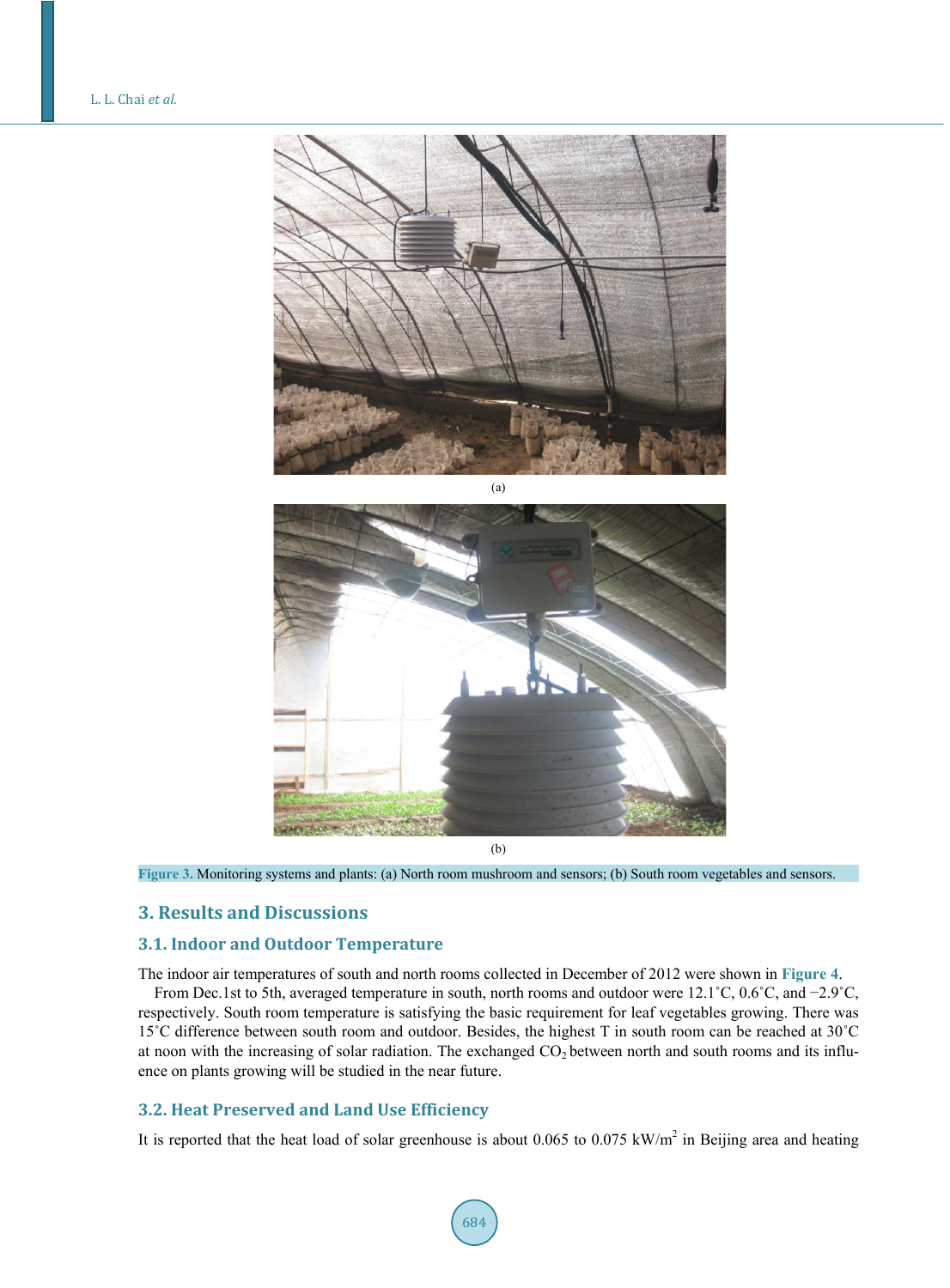<span id="page-3-0"></span>



**Figure 3.** Monitoring systems and plants: (a) North room mushroom and sensors; (b) South room vegetables and sensors.

# **3. Results and Discussions**

## **3.1. Indoor and Outdoor Temperature**

The indoor air temperatures of south and north rooms collected in December of 2012 were shown in **[Figure 4](#page-4-3)**.

From Dec.1st to 5th, averaged temperature in south, north rooms and outdoor were 12.1˚C, 0.6˚C, and −2.9˚C, respectively. South room temperature is satisfying the basic requirement for leaf vegetables growing. There was 15˚C difference between south room and outdoor. Besides, the highest T in south room can be reached at 30˚C at noon with the increasing of solar radiation. The exchanged  $CO<sub>2</sub>$  between north and south rooms and its influence on plants growing will be studied in the near future.

# **3.2. Heat Preserved and Land Use Efficiency**

It is reported that the heat load of solar greenhouse is about  $0.065$  to  $0.075$  kW/m<sup>2</sup> in Beijing area and heating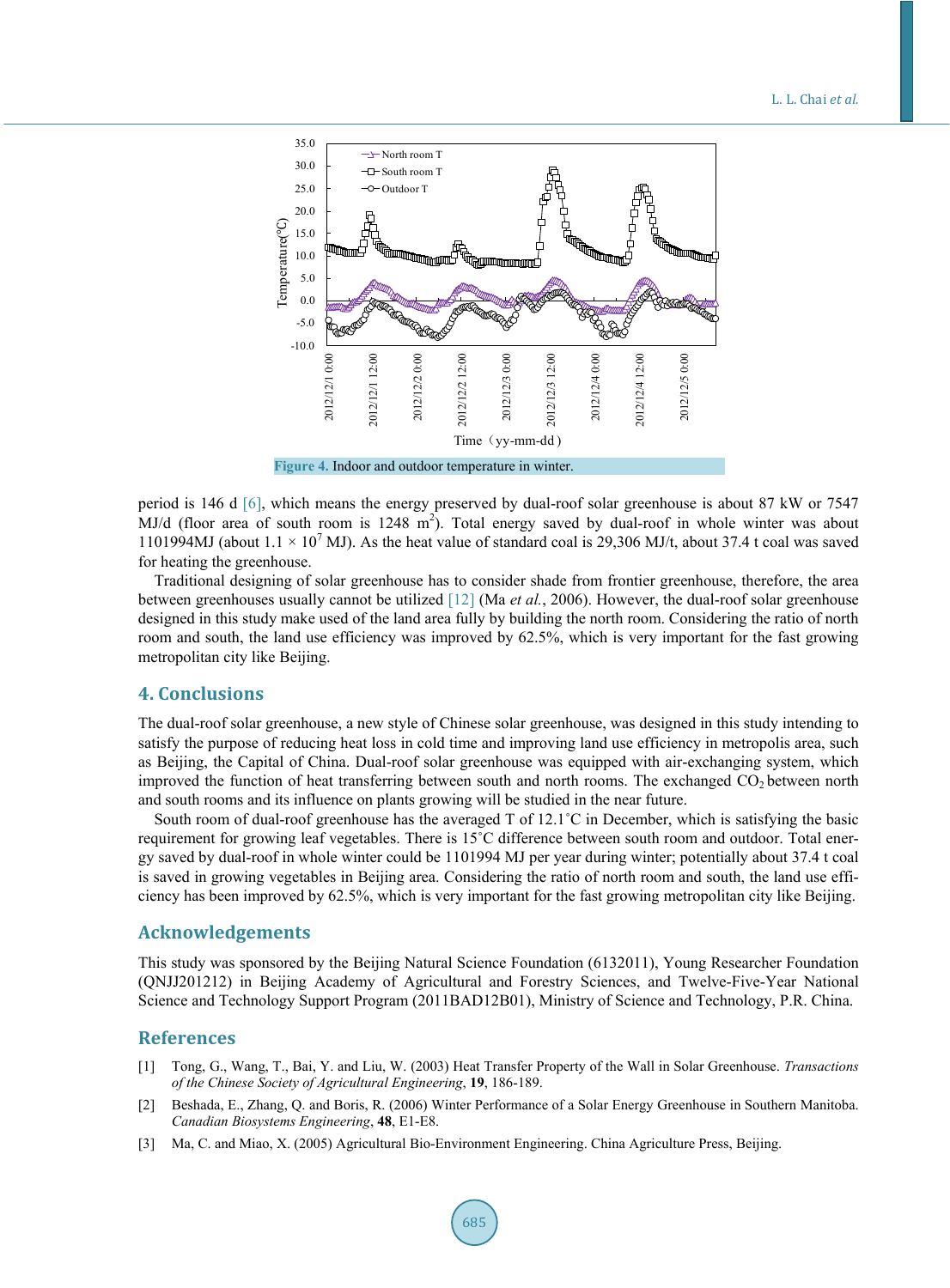#### L. L. Chai *et al.*

<span id="page-4-3"></span>

period is 146 d [\[6\],](#page-5-1) which means the energy preserved by dual-roof solar greenhouse is about 87 kW or 7547 MJ/d (floor area of south room is  $1248 \text{ m}^2$ ). Total energy saved by dual-roof in whole winter was about 1101994MJ (about  $1.1 \times 10^7$  MJ). As the heat value of standard coal is 29,306 MJ/t, about 37.4 t coal was saved for heating the greenhouse.

Traditional designing of solar greenhouse has to consider shade from frontier greenhouse, therefore, the area between greenhouses usually cannot be utilized [\[12\]](#page-5-6) (Ma *et al.*, 2006). However, the dual-roof solar greenhouse designed in this study make used of the land area fully by building the north room. Considering the ratio of north room and south, the land use efficiency was improved by 62.5%, which is very important for the fast growing metropolitan city like Beijing.

## **4. Conclusions**

The dual-roof solar greenhouse, a new style of Chinese solar greenhouse, was designed in this study intending to satisfy the purpose of reducing heat loss in cold time and improving land use efficiency in metropolis area, such as Beijing, the Capital of China. Dual-roof solar greenhouse was equipped with air-exchanging system, which improved the function of heat transferring between south and north rooms. The exchanged CO<sub>2</sub> between north and south rooms and its influence on plants growing will be studied in the near future.

South room of dual-roof greenhouse has the averaged T of 12.1˚C in December, which is satisfying the basic requirement for growing leaf vegetables. There is 15˚C difference between south room and outdoor. Total energy saved by dual-roof in whole winter could be 1101994 MJ per year during winter; potentially about 37.4 t coal is saved in growing vegetables in Beijing area. Considering the ratio of north room and south, the land use efficiency has been improved by 62.5%, which is very important for the fast growing metropolitan city like Beijing.

## **Acknowledgements**

This study was sponsored by the Beijing Natural Science Foundation (6132011), Young Researcher Foundation (QNJJ201212) in Beijing Academy of Agricultural and Forestry Sciences, and Twelve-Five-Year National Science and Technology Support Program (2011BAD12B01), Ministry of Science and Technology, P.R. China.

## **References**

- <span id="page-4-0"></span>[1] Tong, G., Wang, T., Bai, Y. and Liu, W. (2003) Heat Transfer Property of the Wall in Solar Greenhouse. *Transactions of the Chinese Society of Agricultural Engineering*, **19**, 186-189.
- <span id="page-4-1"></span>[2] Beshada, E., Zhang, Q. and Boris, R. (2006) Winter Performance of a Solar Energy Greenhouse in Southern Manitoba. *Canadian Biosystems Engineering*, **48**, E1-E8.
- <span id="page-4-2"></span>[3] Ma, C. and Miao, X. (2005) Agricultural Bio-Environment Engineering. China Agriculture Press, Beijing.